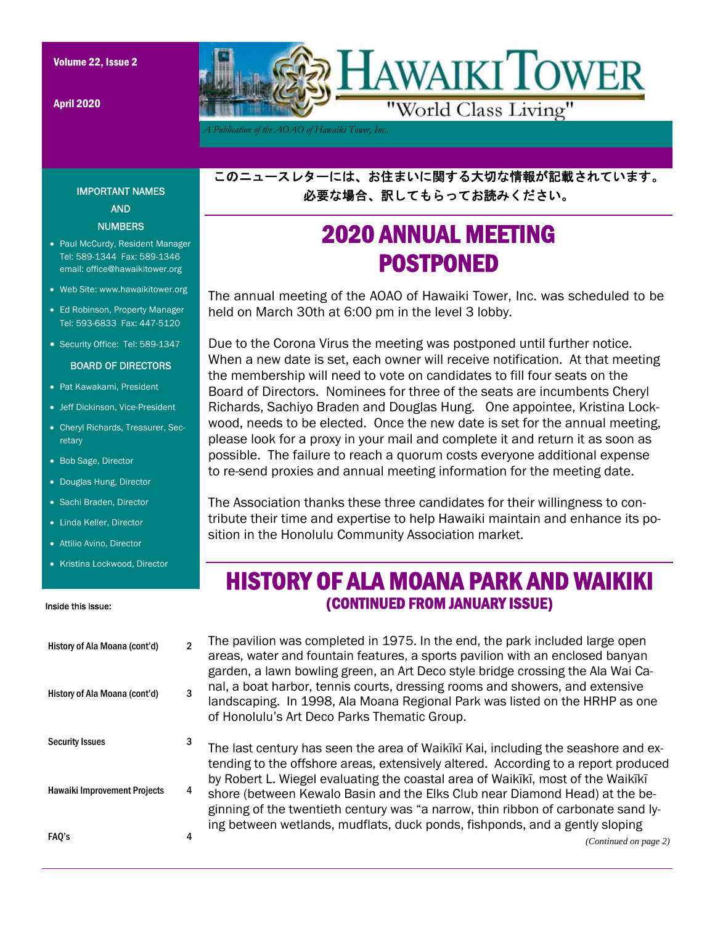April 2020



*A Publication of the AOAO of Hawaiki Tower, Inc..* 

このニュースレターには、お住まいに関する大切な情報が記載されています。 必要な場合、訳してもらってお読みください。

# 2020 ANNUAL MEETING POSTPONED

The annual meeting of the AOAO of Hawaiki Tower, Inc. was scheduled to be held on March 30th at 6:00 pm in the level 3 lobby.

Due to the Corona Virus the meeting was postponed until further notice. When a new date is set, each owner will receive notification. At that meeting the membership will need to vote on candidates to fill four seats on the Board of Directors. Nominees for three of the seats are incumbents Cheryl Richards, Sachiyo Braden and Douglas Hung. One appointee, Kristina Lockwood, needs to be elected. Once the new date is set for the annual meeting, please look for a proxy in your mail and complete it and return it as soon as possible. The failure to reach a quorum costs everyone additional expense to re-send proxies and annual meeting information for the meeting date.

The Association thanks these three candidates for their willingness to contribute their time and expertise to help Hawaiki maintain and enhance its position in the Honolulu Community Association market.

## HISTORY OF ALA MOANA PARK AND WAIKIKI (CONTINUED FROM JANUARY ISSUE)

The pavilion was completed in 1975. In the end, the park included large open areas, water and fountain features, a sports pavilion with an enclosed banyan garden, a lawn bowling green, an Art Deco style bridge crossing the Ala Wai Canal, a boat harbor, tennis courts, dressing rooms and showers, and extensive landscaping. In 1998, Ala Moana Regional Park was listed on the HRHP as one of Honolulu's Art Deco Parks Thematic Group.

The last century has seen the area of Waikīkī Kai, including the seashore and extending to the offshore areas, extensively altered. According to a report produced by Robert L. Wiegel evaluating the coastal area of Waikīkī, most of the Waikīkī shore (between Kewalo Basin and the Elks Club near Diamond Head) at the beginning of the twentieth century was "a narrow, thin ribbon of carbonate sand lying between wetlands, mudflats, duck ponds, fishponds, and a gently sloping

## IMPORTANT NAMES AND **NUMBERS**

- Paul McCurdy, Resident Manager Tel: 589-1344 Fax: 589-1346 email: office@hawaikitower.org
- Web Site: www.hawaikitower.org
- Ed Robinson, Property Manager Tel: 593-6833 Fax: 447-5120
- Security Office: Tel: 589-1347

#### BOARD OF DIRECTORS

- Pat Kawakami, President
- Jeff Dickinson, Vice-President
- Cheryl Richards, Treasurer, Secretary
- Bob Sage, Director
- Douglas Hung, Director
- Sachi Braden, Director
- Linda Keller, Director
- Attilio Avino, Director
- Kristina Lockwood, Director

#### Inside this issue:

| History of Ala Moana (cont'd)       | 2 |
|-------------------------------------|---|
| History of Ala Moana (cont'd)       | 3 |
| <b>Security Issues</b>              | З |
| <b>Hawaiki Improvement Projects</b> | 4 |
| FAQ's                               |   |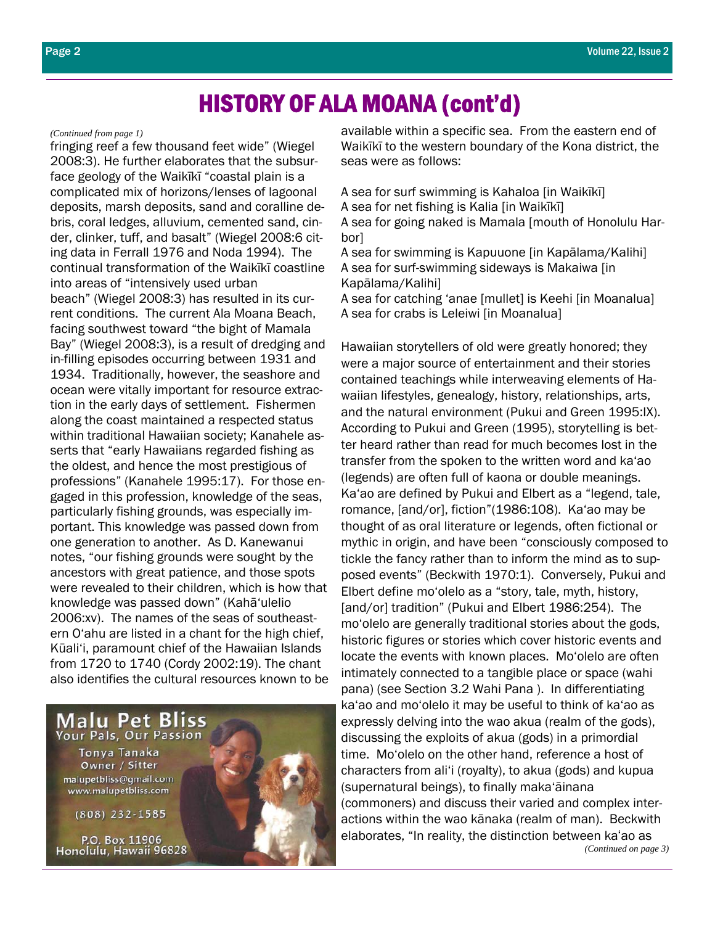## HISTORY OF ALA MOANA (cont'd)

#### *(Continued from page 1)*

fringing reef a few thousand feet wide" (Wiegel 2008:3). He further elaborates that the subsurface geology of the Waikīkī "coastal plain is a complicated mix of horizons/lenses of lagoonal deposits, marsh deposits, sand and coralline debris, coral ledges, alluvium, cemented sand, cinder, clinker, tuff, and basalt" (Wiegel 2008:6 citing data in Ferrall 1976 and Noda 1994). The continual transformation of the Waikīkī coastline into areas of "intensively used urban beach" (Wiegel 2008:3) has resulted in its current conditions. The current Ala Moana Beach, facing southwest toward "the bight of Mamala Bay" (Wiegel 2008:3), is a result of dredging and in-filling episodes occurring between 1931 and 1934. Traditionally, however, the seashore and ocean were vitally important for resource extraction in the early days of settlement. Fishermen along the coast maintained a respected status within traditional Hawaiian society; Kanahele asserts that "early Hawaiians regarded fishing as the oldest, and hence the most prestigious of professions" (Kanahele 1995:17). For those engaged in this profession, knowledge of the seas, particularly fishing grounds, was especially important. This knowledge was passed down from one generation to another. As D. Kanewanui notes, "our fishing grounds were sought by the ancestors with great patience, and those spots were revealed to their children, which is how that knowledge was passed down" (Kahā'ulelio 2006:xv). The names of the seas of southeastern O'ahu are listed in a chant for the high chief, Kūali'i, paramount chief of the Hawaiian Islands from 1720 to 1740 (Cordy 2002:19). The chant also identifies the cultural resources known to be



available within a specific sea. From the eastern end of Waikīkī to the western boundary of the Kona district, the seas were as follows:

A sea for surf swimming is Kahaloa [in Waikīkī] A sea for net fishing is Kalia [in Waikīkī] A sea for going naked is Mamala [mouth of Honolulu Har-

bor] A sea for swimming is Kapuuone [in Kapālama/Kalihi] A sea for surf-swimming sideways is Makaiwa [in Kapālama/Kalihi]

A sea for catching 'anae [mullet] is Keehi [in Moanalua] A sea for crabs is Leleiwi [in Moanalua]

Hawaiian storytellers of old were greatly honored; they were a major source of entertainment and their stories contained teachings while interweaving elements of Hawaiian lifestyles, genealogy, history, relationships, arts, and the natural environment (Pukui and Green 1995:IX). According to Pukui and Green (1995), storytelling is better heard rather than read for much becomes lost in the transfer from the spoken to the written word and ka'ao (legends) are often full of kaona or double meanings. Ka'ao are defined by Pukui and Elbert as a "legend, tale, romance, [and/or], fiction"(1986:108). Ka'ao may be thought of as oral literature or legends, often fictional or mythic in origin, and have been "consciously composed to tickle the fancy rather than to inform the mind as to supposed events" (Beckwith 1970:1). Conversely, Pukui and Elbert define mo'olelo as a "story, tale, myth, history, [and/or] tradition" (Pukui and Elbert 1986:254). The mo'olelo are generally traditional stories about the gods, historic figures or stories which cover historic events and locate the events with known places. Mo'olelo are often intimately connected to a tangible place or space (wahi pana) (see Section 3.2 Wahi Pana ). In differentiating ka'ao and mo'olelo it may be useful to think of ka'ao as expressly delving into the wao akua (realm of the gods), discussing the exploits of akua (gods) in a primordial time. Mo'olelo on the other hand, reference a host of characters from ali'i (royalty), to akua (gods) and kupua (supernatural beings), to finally maka'āinana (commoners) and discuss their varied and complex interactions within the wao kānaka (realm of man). Beckwith elaborates, "In reality, the distinction between kaʻao as *(Continued on page 3)*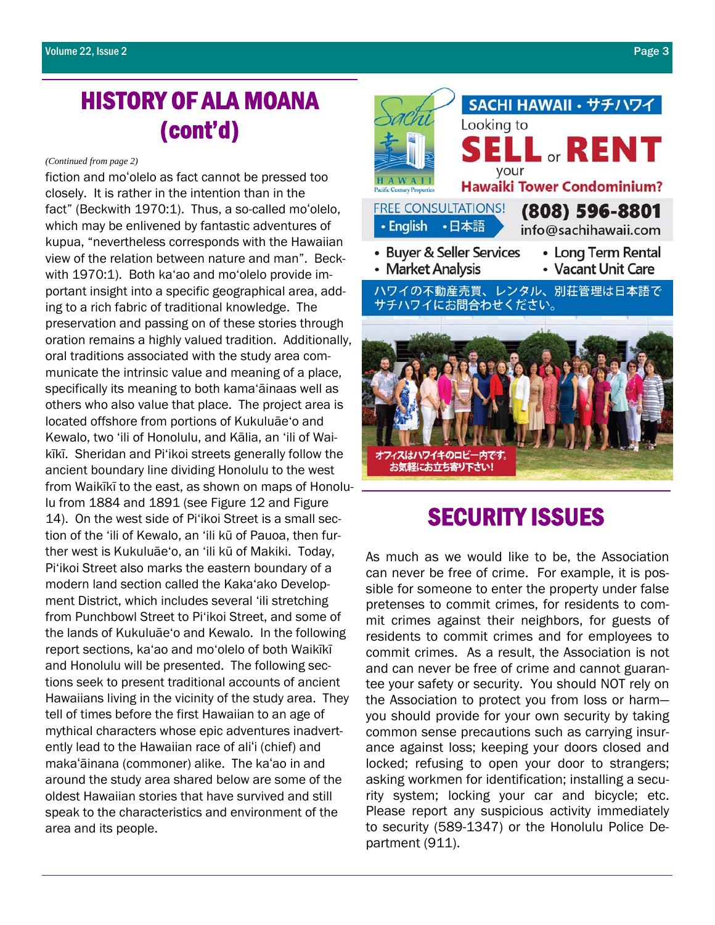# HISTORY OF ALA MOANA (cont'd)

#### *(Continued from page 2)*

fiction and moʻolelo as fact cannot be pressed too closely. It is rather in the intention than in the fact" (Beckwith 1970:1). Thus, a so-called moʻolelo, which may be enlivened by fantastic adventures of kupua, "nevertheless corresponds with the Hawaiian view of the relation between nature and man". Beckwith 1970:1). Both ka'ao and mo'olelo provide important insight into a specific geographical area, adding to a rich fabric of traditional knowledge. The preservation and passing on of these stories through oration remains a highly valued tradition. Additionally, oral traditions associated with the study area communicate the intrinsic value and meaning of a place, specifically its meaning to both kama'āinaas well as others who also value that place. The project area is located offshore from portions of Kukuluāe'o and Kewalo, two 'ili of Honolulu, and Kālia, an 'ili of Waikīkī. Sheridan and Pi'ikoi streets generally follow the ancient boundary line dividing Honolulu to the west from Waikīkī to the east, as shown on maps of Honolulu from 1884 and 1891 (see Figure 12 and Figure 14). On the west side of Pi'ikoi Street is a small section of the 'ili of Kewalo, an 'ili kū of Pauoa, then further west is Kukuluāe'o, an 'ili kū of Makiki. Today, Pi'ikoi Street also marks the eastern boundary of a modern land section called the Kaka'ako Development District, which includes several 'ili stretching from Punchbowl Street to Pi'ikoi Street, and some of the lands of Kukuluāe'o and Kewalo. In the following report sections, ka'ao and mo'olelo of both Waikīkī and Honolulu will be presented. The following sections seek to present traditional accounts of ancient Hawaiians living in the vicinity of the study area. They tell of times before the first Hawaiian to an age of mythical characters whose epic adventures inadvertently lead to the Hawaiian race of aliʻi (chief) and makaʻāinana (commoner) alike. The kaʻao in and around the study area shared below are some of the oldest Hawaiian stories that have survived and still speak to the characteristics and environment of the area and its people.



## SECURITY ISSUES

As much as we would like to be, the Association can never be free of crime. For example, it is possible for someone to enter the property under false pretenses to commit crimes, for residents to commit crimes against their neighbors, for guests of residents to commit crimes and for employees to commit crimes. As a result, the Association is not and can never be free of crime and cannot guarantee your safety or security. You should NOT rely on the Association to protect you from loss or harm you should provide for your own security by taking common sense precautions such as carrying insurance against loss; keeping your doors closed and locked; refusing to open your door to strangers; asking workmen for identification; installing a security system; locking your car and bicycle; etc. Please report any suspicious activity immediately to security (589-1347) or the Honolulu Police Department (911).